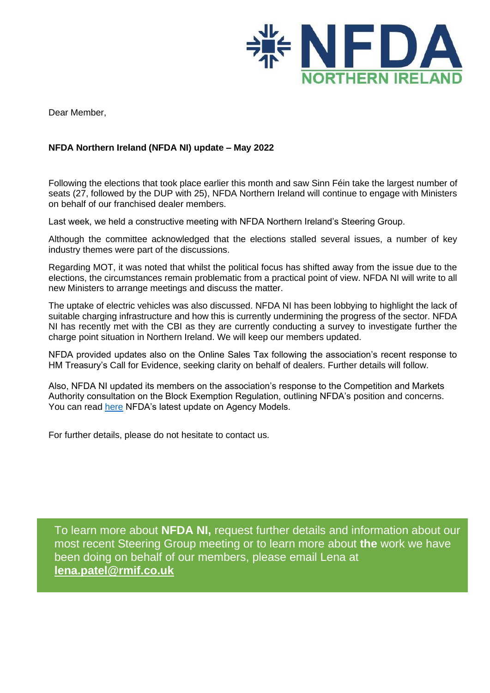

Dear Member,

## **NFDA Northern Ireland (NFDA NI) update – May 2022**

Following the elections that took place earlier this month and saw Sinn Féin take the largest number of seats (27, followed by the DUP with 25), NFDA Northern Ireland will continue to engage with Ministers on behalf of our franchised dealer members.

Last week, we held a constructive meeting with NFDA Northern Ireland's Steering Group.

Although the committee acknowledged that the elections stalled several issues, a number of key industry themes were part of the discussions.

Regarding MOT, it was noted that whilst the political focus has shifted away from the issue due to the elections, the circumstances remain problematic from a practical point of view. NFDA NI will write to all new Ministers to arrange meetings and discuss the matter.

The uptake of electric vehicles was also discussed. NFDA NI has been lobbying to highlight the lack of suitable charging infrastructure and how this is currently undermining the progress of the sector. NFDA NI has recently met with the CBI as they are currently conducting a survey to investigate further the charge point situation in Northern Ireland. We will keep our members updated.

NFDA provided updates also on the Online Sales Tax following the association's recent response to HM Treasury's Call for Evidence, seeking clarity on behalf of dealers. Further details will follow.

Also, NFDA NI updated its members on the association's response to the Competition and Markets Authority consultation on the Block Exemption Regulation, outlining NFDA's position and concerns. You can read [here](NFDA%20UPDATE%20ON%20AGENCY%20MODELS) NFDA's latest update on Agency Models.

For further details, please do not hesitate to contact us.

To learn more about **NFDA NI,** request further details and information about our most recent Steering Group meeting or to learn more about **the** work we have been doing on behalf of our members, please email Lena at **[lena.patel@rmif.co.uk](mailto:lena.patel@rmif.co.uk)**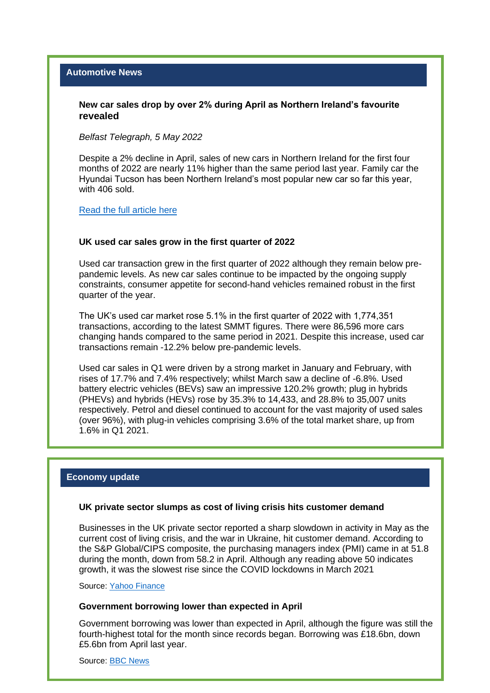#### **New car sales drop by over 2% during April as Northern Ireland's favourite revealed**

*Belfast Telegraph, 5 May 2022*

Despite a 2% decline in April, sales of new cars in Northern Ireland for the first four months of 2022 are nearly 11% higher than the same period last year. Family car the Hyundai Tucson has been Northern Ireland's most popular new car so far this year, with 406 sold.

[Read the full article here](https://www.belfasttelegraph.co.uk/business/northern-ireland/new-car-sales-drop-by-over-2-during-april-as-northern-irelands-favourite-revealed-41618042.html) 

#### **UK used car sales grow in the first quarter of 2022**

Used car transaction grew in the first quarter of 2022 although they remain below prepandemic levels. As new car sales continue to be impacted by the ongoing supply constraints, consumer appetite for second-hand vehicles remained robust in the first quarter of the year.

The UK's used car market rose 5.1% in the first quarter of 2022 with 1,774,351 transactions, according to the latest SMMT figures. There were 86,596 more cars changing hands compared to the same period in 2021. Despite this increase, used car transactions remain -12.2% below pre-pandemic levels.

Used car sales in Q1 were driven by a strong market in January and February, with rises of 17.7% and 7.4% respectively; whilst March saw a decline of -6.8%. Used battery electric vehicles (BEVs) saw an impressive 120.2% growth; plug in hybrids (PHEVs) and hybrids (HEVs) rose by 35.3% to 14,433, and 28.8% to 35,007 units respectively. Petrol and diesel continued to account for the vast majority of used sales (over 96%), with plug-in vehicles comprising 3.6% of the total market share, up from 1.6% in Q1 2021.

#### **Economy update**

#### **UK private sector slumps as cost of living crisis hits customer demand**

Businesses in the UK private sector reported a sharp slowdown in activity in May as the current [cost of living crisis,](https://uk.yahoo.com/topics/cost-of-living-crisis/) and the [war in Ukraine,](https://uk.yahoo.com/topics/ukraine-crisis/) hit customer demand. According to the S&P Global/CIPS composite, the purchasing managers index (PMI) came in at 51.8 during the month, down from 58.2 in April. Although any reading above 50 indicates growth, it was the slowest rise since the [COVID](https://uk.yahoo.com/topics/coronavirus-news/) lockdowns in March 2021

Source: [Yahoo Finance](https://uk.finance.yahoo.com/news/uk-private-sector-cost-living-crisis-customer-demand-095203962.html)

#### **Government borrowing lower than expected in April**

Government borrowing was lower than expected in April, although the figure was still the fourth-highest total for the month since records began. Borrowing was £18.6bn, down £5.6bn from April last year.

Source: [BBC News](https://www.bbc.co.uk/news/business-61561682)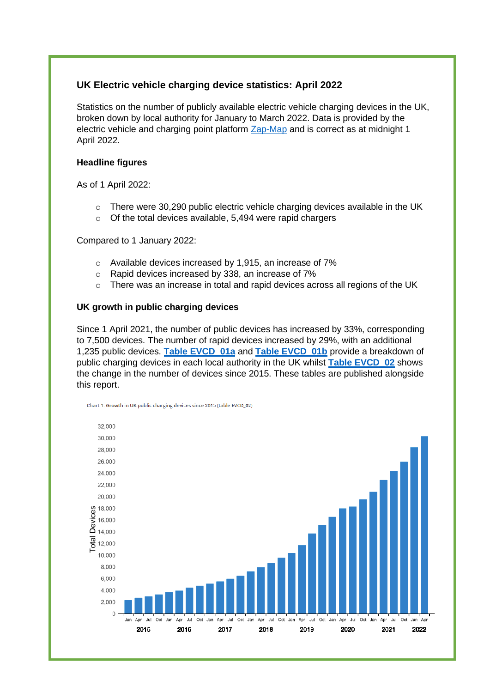## **[UK Electric vehicle charging device statistics: April 2022](https://www.evapproved.co.uk/electric-vehicle-charging-device-statistics-april-2022/)**

Statistics on the number of publicly available electric vehicle charging devices in the UK, broken down by local authority for January to March 2022. Data is provided by the electric vehicle and charging point platform [Zap-Map](https://www.zap-map.com/) and is correct as at midnight 1 April 2022.

## **Headline figures**

As of 1 April 2022:

- o There were 30,290 public electric vehicle charging devices available in the UK
- o Of the total devices available, 5,494 were rapid chargers

### Compared to 1 January 2022:

- o Available devices increased by 1,915, an increase of 7%
- o Rapid devices increased by 338, an increase of 7%
- $\circ$  There was an increase in total and rapid devices across all regions of the UK

### **UK growth in public charging devices**

Since 1 April 2021, the number of public devices has increased by 33%, corresponding to 7,500 devices. The number of rapid devices increased by 29%, with an additional 1,235 public devices. **[Table EVCD\\_01a](https://www.gov.uk/government/statistics/electric-vehicle-charging-device-statistics-april-2022)** and **[Table EVCD\\_01b](https://www.gov.uk/government/statistics/electric-vehicle-charging-device-statistics-april-2022)** provide a breakdown of public charging devices in each local authority in the UK whilst **[Table EVCD\\_02](https://www.gov.uk/government/statistics/electric-vehicle-charging-device-statistics-april-2022)** shows the change in the number of devices since 2015. These tables are published alongside this report.



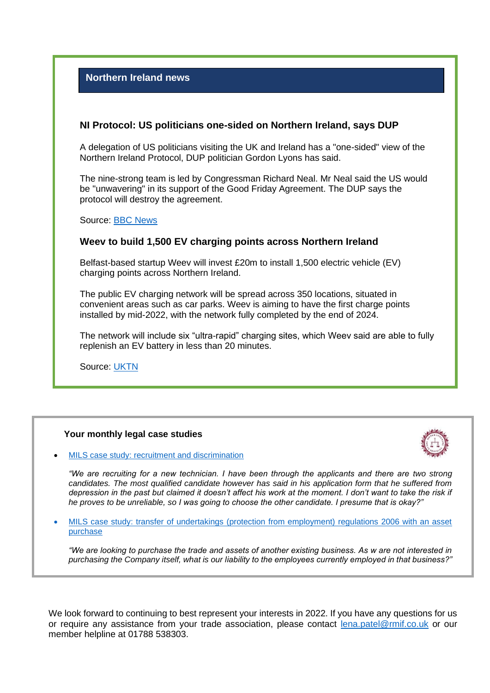## **Northern Ireland news**

## **NI Protocol: US politicians one-sided on Northern Ireland, says DUP**

A delegation of US politicians visiting the UK and Ireland has a "one-sided" view of the Northern Ireland Protocol, DUP politician Gordon Lyons has said.

The nine-strong team is led by Congressman Richard Neal. Mr Neal said the US would be "unwavering" in its support of the Good Friday Agreement. The DUP says the protocol will destroy the agreement.

Source: [BBC News](https://www.bbc.co.uk/news/uk-northern-ireland-61549050)

## **Weev to build 1,500 EV charging points across Northern Ireland**

Belfast-based startup Weev will invest £20m to install 1,500 electric vehicle (EV) charging points across Northern Ireland.

The public EV charging network will be spread across 350 locations, situated in convenient areas such as car parks. Weev is aiming to have the first charge points installed by mid-2022, with the network fully completed by the end of 2024.

The network will include six "ultra-rapid" charging sites, which Weev said are able to fully replenish an EV battery in less than 20 minutes.

Source: [UKTN](https://www.uktech.news/mobility/weev-ev-charging-points-northern-ireland-20220426)

#### **Your monthly legal case studies**



[MILS case study: recruitment and discrimination](https://www.nfda-uk.co.uk/press-room/newsletter/2022/19/mils-case-study-recruitment-and-discrimination)

*"We are recruiting for a new technician. I have been through the applicants and there are two strong candidates. The most qualified candidate however has said in his application form that he suffered from depression in the past but claimed it doesn't affect his work at the moment. I don't want to take the risk if he proves to be unreliable, so I was going to choose the other candidate. I presume that is okay?"*

• [MILS case study: transfer of undertakings \(protection from employment\) regulations 2006 with an asset](https://www.nfda-uk.co.uk/press-room/newsletter/2022/20/mils-case-study-transfer-of-undertakings-protection-from-employment-regulations-2006-with-an-asset-purchase)  [purchase](https://www.nfda-uk.co.uk/press-room/newsletter/2022/20/mils-case-study-transfer-of-undertakings-protection-from-employment-regulations-2006-with-an-asset-purchase)

*"We are looking to purchase the trade and assets of another existing business. As w are not interested in purchasing the Company itself, what is our liability to the employees currently employed in that business?"*

We look forward to continuing to best represent your interests in 2022. If you have any questions for us *in motor law and motor trade law. MILS currently advises over 1,000 individual businesses within the sector as*  or require any assistance from your trade association, please contact <u>lena.patel@rmif.co.uk</u> or our member helpline at 01788 538303. *well as the Retail Motor Industry Federation (RMI) and its members. Members of NFDA Northern Ireland have*